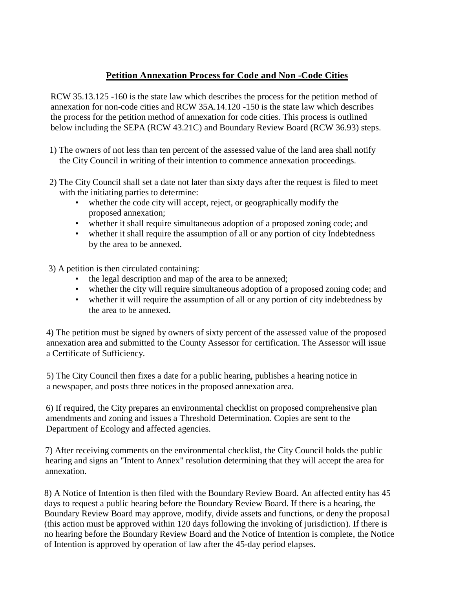# **Petition Annexation Process for Code and Non -Code Cities**

RCW 35.13.125 -160 is the state law which describes the process for the petition method of annexation for non-code cities and RCW 35A.14.120 -150 is the state law which describes the process for the petition method of annexation for code cities. This process is outlined below including the SEPA (RCW 43.21C) and Boundary Review Board (RCW 36.93) steps.

- 1) The owners of not less than ten percent of the assessed value of the land area shall notify the City Council in writing of their intention to commence annexation proceedings.
- 2) The City Council shall set a date not later than sixty days after the request is filed to meet with the initiating parties to determine:
	- whether the code city will accept, reject, or geographically modify the proposed annexation;
	- whether it shall require simultaneous adoption of a proposed zoning code; and
	- whether it shall require the assumption of all or any portion of city Indebtedness by the area to be annexed.
- 3) A petition is then circulated containing:
	- the legal description and map of the area to be annexed;
	- whether the city will require simultaneous adoption of a proposed zoning code; and
	- whether it will require the assumption of all or any portion of city indebtedness by the area to be annexed.

4) The petition must be signed by owners of sixty percent of the assessed value of the proposed annexation area and submitted to the County Assessor for certification. The Assessor will issue a Certificate of Sufficiency.

5) The City Council then fixes a date for a public hearing, publishes a hearing notice in a newspaper, and posts three notices in the proposed annexation area.

6) If required, the City prepares an environmental checklist on proposed comprehensive plan amendments and zoning and issues a Threshold Determination. Copies are sent to the Department of Ecology and affected agencies.

7) After receiving comments on the environmental checklist, the City Council holds the public hearing and signs an "Intent to Annex" resolution determining that they will accept the area for annexation.

8) A Notice of Intention is then filed with the Boundary Review Board. An affected entity has 45 days to request a public hearing before the Boundary Review Board. If there is a hearing, the Boundary Review Board may approve, modify, divide assets and functions, or deny the proposal (this action must be approved within 120 days following the invoking of jurisdiction). If there is no hearing before the Boundary Review Board and the Notice of Intention is complete, the Notice of Intention is approved by operation of law after the 45-day period elapses.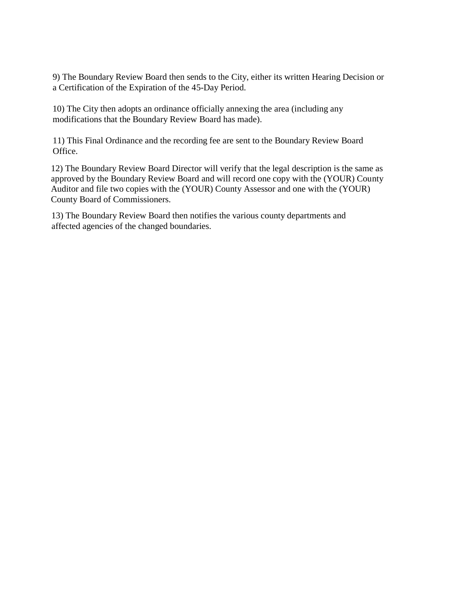9) The Boundary Review Board then sends to the City, either its written Hearing Decision or a Certification of the Expiration of the 45-Day Period.

10) The City then adopts an ordinance officially annexing the area (including any modifications that the Boundary Review Board has made).

11) This Final Ordinance and the recording fee are sent to the Boundary Review Board Office.

12) The Boundary Review Board Director will verify that the legal description is the same as approved by the Boundary Review Board and will record one copy with the (YOUR) County Auditor and file two copies with the (YOUR) County Assessor and one with the (YOUR) County Board of Commissioners.

13) The Boundary Review Board then notifies the various county departments and affected agencies of the changed boundaries.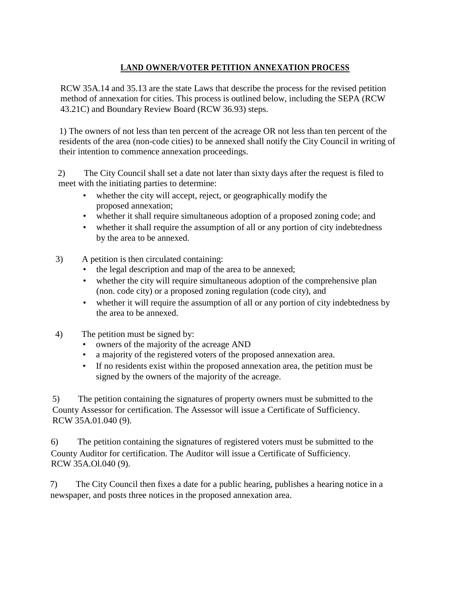# **LAND OWNER/VOTER PETITION ANNEXATION PROCESS**

RCW 35A.14 and 35.13 are the state Laws that describe the process for the revised petition method of annexation for cities. This process is outlined below, including the SEPA (RCW 43.21C) and Boundary Review Board (RCW 36.93) steps.

1) The owners of not less than ten percent of the acreage OR not less than ten percent of the residents of the area (non-code cities) to be annexed shall notify the City Council in writing of their intention to commence annexation proceedings.

2) The City Council shall set a date not later than sixty days after the request is filed to meet with the initiating parties to determine:

- whether the city will accept, reject, or geographically modify the proposed annexation;
- whether it shall require simultaneous adoption of a proposed zoning code; and
- whether it shall require the assumption of all or any portion of city indebtedness by the area to be annexed.
- 3) A petition is then circulated containing:
	- the legal description and map of the area to be annexed;
	- whether the city will require simultaneous adoption of the comprehensive plan (non. code city) or a proposed zoning regulation (code city), and
	- whether it will require the assumption of all or any portion of city indebtedness by the area to be annexed.
- 4) The petition must be signed by:
	- owners of the majority of the acreage AND
	- a majority of the registered voters of the proposed annexation area.
	- If no residents exist within the proposed annexation area, the petition must be signed by the owners of the majority of the acreage.

5) The petition containing the signatures of property owners must be submitted to the County Assessor for certification. The Assessor will issue a Certificate of Sufficiency. RCW 35A.01.040 (9).

6) The petition containing the signatures of registered voters must be submitted to the County Auditor for certification. The Auditor will issue a Certificate of Sufficiency. RCW 35A.Ol.040 (9).

7) The City Council then fixes a date for a public hearing, publishes a hearing notice in a newspaper, and posts three notices in the proposed annexation area.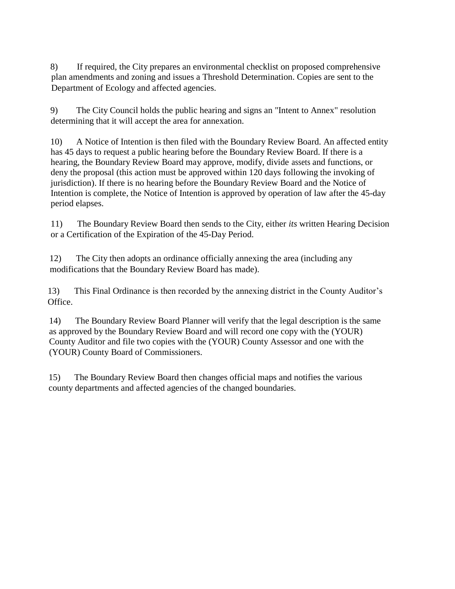8) If required, the City prepares an environmental checklist on proposed comprehensive plan amendments and zoning and issues a Threshold Determination. Copies are sent to the Department of Ecology and affected agencies.

9) The City Council holds the public hearing and signs an "Intent to Annex" resolution determining that it will accept the area for annexation.

10) A Notice of Intention is then filed with the Boundary Review Board. An affected entity has 45 days to request a public hearing before the Boundary Review Board. If there is a hearing, the Boundary Review Board may approve, modify, divide assets and functions, or deny the proposal (this action must be approved within 120 days following the invoking of jurisdiction). If there is no hearing before the Boundary Review Board and the Notice of Intention is complete, the Notice of Intention is approved by operation of law after the 45-day period elapses.

11) The Boundary Review Board then sends to the City, either *its* written Hearing Decision or a Certification of the Expiration of the 45-Day Period.

12) The City then adopts an ordinance officially annexing the area (including any modifications that the Boundary Review Board has made).

13) This Final Ordinance is then recorded by the annexing district in the County Auditor's Office.

14) The Boundary Review Board Planner will verify that the legal description is the same as approved by the Boundary Review Board and will record one copy with the (YOUR) County Auditor and file two copies with the (YOUR) County Assessor and one with the (YOUR) County Board of Commissioners.

15) The Boundary Review Board then changes official maps and notifies the various county departments and affected agencies of the changed boundaries.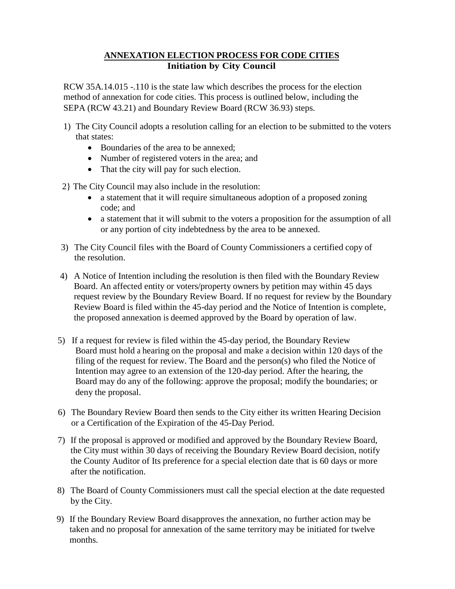### **ANNEXATION ELECTION PROCESS FOR CODE CITIES Initiation by City Council**

RCW 35A.14.015 -.110 is the state law which describes the process for the election method of annexation for code cities. This process is outlined below, including the SEPA (RCW 43.21) and Boundary Review Board (RCW 36.93) steps.

- 1) The City Council adopts a resolution calling for an election to be submitted to the voters that states:
	- Boundaries of the area to be annexed:
	- Number of registered voters in the area; and
	- That the city will pay for such election.

2} The City Council may also include in the resolution:

- a statement that it will require simultaneous adoption of a proposed zoning code; and
- a statement that it will submit to the voters a proposition for the assumption of all or any portion of city indebtedness by the area to be annexed.
- 3) The City Council files with the Board of County Commissioners a certified copy of the resolution.
- 4) A Notice of Intention including the resolution is then filed with the Boundary Review Board. An affected entity or voters/property owners by petition may within 45 days request review by the Boundary Review Board. If no request for review by the Boundary Review Board is filed within the 45-day period and the Notice of Intention is complete, the proposed annexation is deemed approved by the Board by operation of law.
- 5) If a request for review is filed within the 45-day period, the Boundary Review Board must hold a hearing on the proposal and make a decision within 120 days of the filing of the request for review. The Board and the person(s) who filed the Notice of Intention may agree to an extension of the 120-day period. After the hearing, the Board may do any of the following: approve the proposal; modify the boundaries; or deny the proposal.
- 6) The Boundary Review Board then sends to the City either its written Hearing Decision or a Certification of the Expiration of the 45-Day Period.
- 7) If the proposal is approved or modified and approved by the Boundary Review Board, the City must within 30 days of receiving the Boundary Review Board decision, notify the County Auditor of Its preference for a special election date that is 60 days or more after the notification.
- 8) The Board of County Commissioners must call the special election at the date requested by the City.
- 9) If the Boundary Review Board disapproves the annexation, no further action may be taken and no proposal for annexation of the same territory may be initiated for twelve months.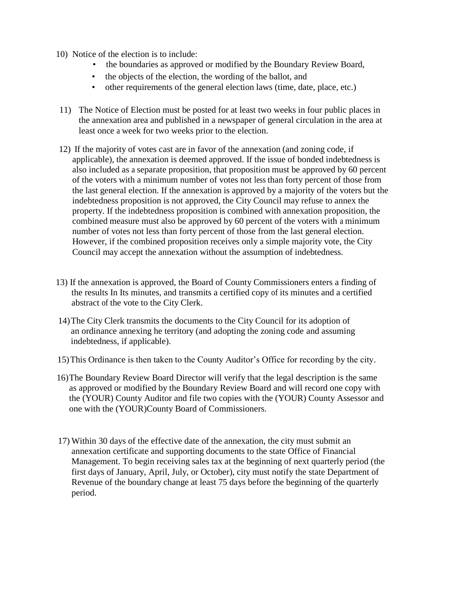- 10) Notice of the election is to include:
	- the boundaries as approved or modified by the Boundary Review Board,
	- the objects of the election, the wording of the ballot, and
	- other requirements of the general election laws (time, date, place, etc.)
- 11) The Notice of Election must be posted for at least two weeks in four public places in the annexation area and published in a newspaper of general circulation in the area at least once a week for two weeks prior to the election.
- 12) If the majority of votes cast are in favor of the annexation (and zoning code, if applicable), the annexation is deemed approved. If the issue of bonded indebtedness is also included as a separate proposition, that proposition must be approved by 60 percent of the voters with a minimum number of votes not less than forty percent of those from the last general election. If the annexation is approved by a majority of the voters but the indebtedness proposition is not approved, the City Council may refuse to annex the property. If the indebtedness proposition is combined with annexation proposition, the combined measure must also be approved by 60 percent of the voters with a minimum number of votes not less than forty percent of those from the last general election. However, if the combined proposition receives only a simple majority vote, the City Council may accept the annexation without the assumption of indebtedness.
- 13) If the annexation is approved, the Board of County Commissioners enters a finding of the results In Its minutes, and transmits a certified copy of its minutes and a certified abstract of the vote to the City Clerk.
- 14)The City Clerk transmits the documents to the City Council for its adoption of an ordinance annexing he territory (and adopting the zoning code and assuming indebtedness, if applicable).
- 15)This Ordinance is then taken to the County Auditor's Office for recording by the city.
- 16)The Boundary Review Board Director will verify that the legal description is the same as approved or modified by the Boundary Review Board and will record one copy with the (YOUR) County Auditor and file two copies with the (YOUR) County Assessor and one with the (YOUR)County Board of Commissioners.
- 17) Within 30 days of the effective date of the annexation, the city must submit an annexation certificate and supporting documents to the state Office of Financial Management. To begin receiving sales tax at the beginning of next quarterly period (the first days of January, April, July, or October), city must notify the state Department of Revenue of the boundary change at least 75 days before the beginning of the quarterly period.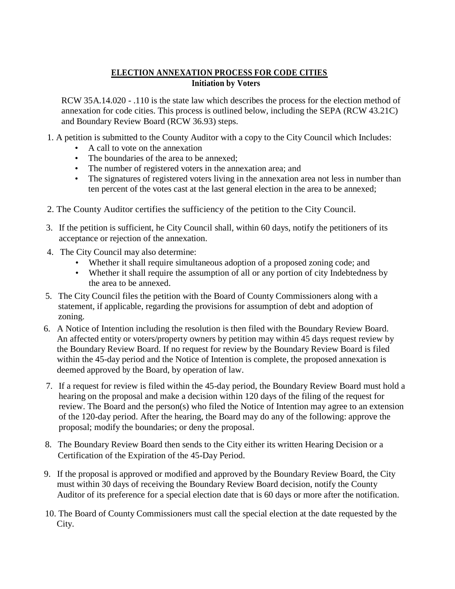# **ELECTION ANNEXATION PROCESS FOR CODE CITIES Initiation by Voters**

RCW 35A.14.020 - .110 is the state law which describes the process for the election method of annexation for code cities. This process is outlined below, including the SEPA (RCW 43.21C) and Boundary Review Board (RCW 36.93) steps.

1. A petition is submitted to the County Auditor with a copy to the City Council which Includes:

- A call to vote on the annexation
- The boundaries of the area to be annexed:
- The number of registered voters in the annexation area; and
- The signatures of registered voters living in the annexation area not less in number than ten percent of the votes cast at the last general election in the area to be annexed;
- 2. The County Auditor certifies the sufficiency of the petition to the City Council.
- 3. If the petition is sufficient, he City Council shall, within 60 days, notify the petitioners of its acceptance or rejection of the annexation.
- 4. The City Council may also determine:
	- Whether it shall require simultaneous adoption of a proposed zoning code; and
	- Whether it shall require the assumption of all or any portion of city Indebtedness by the area to be annexed.
- 5. The City Council files the petition with the Board of County Commissioners along with a statement, if applicable, regarding the provisions for assumption of debt and adoption of zoning.
- 6. A Notice of Intention including the resolution is then filed with the Boundary Review Board. An affected entity or voters/property owners by petition may within 45 days request review by the Boundary Review Board. If no request for review by the Boundary Review Board is filed within the 45-day period and the Notice of Intention is complete, the proposed annexation is deemed approved by the Board, by operation of law.
- 7. If a request for review is filed within the 45-day period, the Boundary Review Board must hold a hearing on the proposal and make a decision within 120 days of the filing of the request for review. The Board and the person(s) who filed the Notice of Intention may agree to an extension of the 120-day period. After the hearing, the Board may do any of the following: approve the proposal; modify the boundaries; or deny the proposal.
- 8. The Boundary Review Board then sends to the City either its written Hearing Decision or a Certification of the Expiration of the 45-Day Period.
- 9. If the proposal is approved or modified and approved by the Boundary Review Board, the City must within 30 days of receiving the Boundary Review Board decision, notify the County Auditor of its preference for a special election date that is 60 days or more after the notification.
- 10. The Board of County Commissioners must call the special election at the date requested by the City.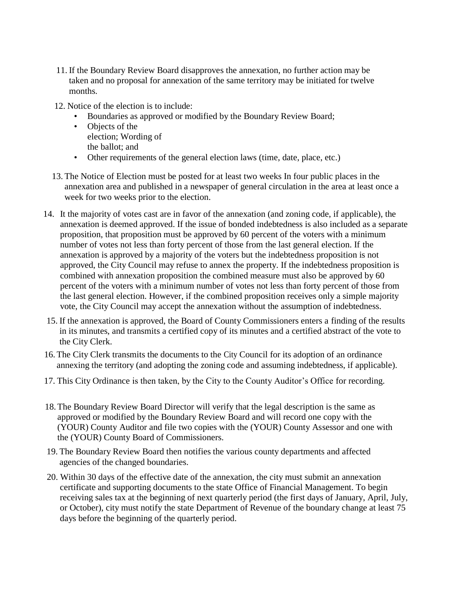- 11. If the Boundary Review Board disapproves the annexation, no further action may be taken and no proposal for annexation of the same territory may be initiated for twelve months.
- 12. Notice of the election is to include:
	- Boundaries as approved or modified by the Boundary Review Board;
	- Objects of the election; Wording of the ballot; and
	- Other requirements of the general election laws (time, date, place, etc.)
- 13. The Notice of Election must be posted for at least two weeks In four public places in the annexation area and published in a newspaper of general circulation in the area at least once a week for two weeks prior to the election.
- 14. It the majority of votes cast are in favor of the annexation (and zoning code, if applicable), the annexation is deemed approved. If the issue of bonded indebtedness is also included as a separate proposition, that proposition must be approved by 60 percent of the voters with a minimum number of votes not less than forty percent of those from the last general election. If the annexation is approved by a majority of the voters but the indebtedness proposition is not approved, the City Council may refuse to annex the property. If the indebtedness proposition is combined with annexation proposition the combined measure must also be approved by 60 percent of the voters with a minimum number of votes not less than forty percent of those from the last general election. However, if the combined proposition receives only a simple majority vote, the City Council may accept the annexation without the assumption of indebtedness.
- 15. If the annexation is approved, the Board of County Commissioners enters a finding of the results in its minutes, and transmits a certified copy of its minutes and a certified abstract of the vote to the City Clerk.
- 16.The City Clerk transmits the documents to the City Council for its adoption of an ordinance annexing the territory (and adopting the zoning code and assuming indebtedness, if applicable).
- 17. This City Ordinance is then taken, by the City to the County Auditor's Office for recording.
- 18.The Boundary Review Board Director will verify that the legal description is the same as approved or modified by the Boundary Review Board and will record one copy with the (YOUR) County Auditor and file two copies with the (YOUR) County Assessor and one with the (YOUR) County Board of Commissioners.
- 19. The Boundary Review Board then notifies the various county departments and affected agencies of the changed boundaries.
- 20. Within 30 days of the effective date of the annexation, the city must submit an annexation certificate and supporting documents to the state Office of Financial Management. To begin receiving sales tax at the beginning of next quarterly period (the first days of January, April, July, or October), city must notify the state Department of Revenue of the boundary change at least 75 days before the beginning of the quarterly period.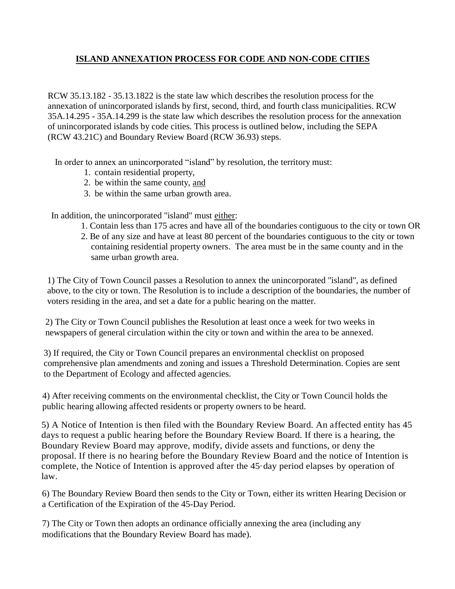# **ISLAND ANNEXATION PROCESS FOR CODE AND NON-CODE CITIES**

RCW 35.13.182 - 35.13.1822 is the state law which describes the resolution process for the annexation of unincorporated islands by first, second, third, and fourth class municipalities. RCW 35A.14.295 - 35A.14.299 is the state law which describes the resolution process for the annexation of unincorporated islands by code cities. This process is outlined below, including the SEPA (RCW 43.21C) and Boundary Review Board (RCW 36.93) steps.

In order to annex an unincorporated "island" by resolution, the territory must:

- 1. contain residential property,
- 2. be within the same county, and
- 3. be within the same urban growth area.

In addition, the unincorporated "island" must either:

- 1. Contain less than 175 acres and have all of the boundaries contiguous to the city or town OR
- 2. Be of any size and have at least 80 percent of the boundaries contiguous to the city or town containing residential property owners. The area must be in the same county and in the same urban growth area.

1) The City of Town Council passes a Resolution to annex the unincorporated "island", as defined above, to the city or town. The Resolution is to include a description of the boundaries, the number of voters residing in the area, and set a date for a public hearing on the matter.

2) The City or Town Council publishes the Resolution at least once a week for two weeks in newspapers of general circulation within the city or town and within the area to be annexed.

3) If required, the City or Town Council prepares an environmental checklist on proposed comprehensive plan amendments and zoning and issues a Threshold Determination. Copies are sent to the Department of Ecology and affected agencies.

4) After receiving comments on the environmental checklist, the City or Town Council holds the public hearing allowing affected residents or property owners to be heard.

5) A Notice of Intention is then filed with the Boundary Review Board. An affected entity has 45 days to request a public hearing before the Boundary Review Board. If there is a hearing, the Boundary Review Board may approve, modify, divide assets and functions, or deny the proposal. If there is no hearing before the Boundary Review Board and the notice of Intention is complete, the Notice of Intention is approved after the 45·day period elapses by operation of law.

6) The Boundary Review Board then sends to the City or Town, either its written Hearing Decision or a Certification of the Expiration of the 45-Day Period.

7) The City or Town then adopts an ordinance officially annexing the area (including any modifications that the Boundary Review Board has made).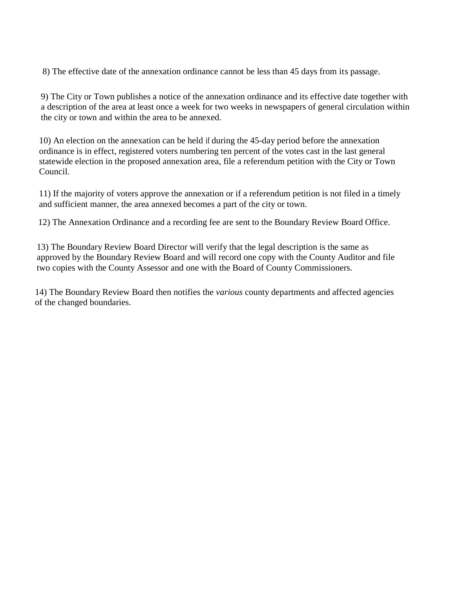8) The effective date of the annexation ordinance cannot be less than 45 days from its passage.

9) The City or Town publishes a notice of the annexation ordinance and its effective date together with a description of the area at least once a week for two weeks in newspapers of general circulation within the city or town and within the area to be annexed.

10) An election on the annexation can be held if during the 45-day period before the annexation ordinance is in effect, registered voters numbering ten percent of the votes cast in the last general statewide election in the proposed annexation area, file a referendum petition with the City or Town Council.

11) If the majority of voters approve the annexation or if a referendum petition is not filed in a timely and sufficient manner, the area annexed becomes a part of the city or town.

12) The Annexation Ordinance and a recording fee are sent to the Boundary Review Board Office.

13) The Boundary Review Board Director will verify that the legal description is the same as approved by the Boundary Review Board and will record one copy with the County Auditor and file two copies with the County Assessor and one with the Board of County Commissioners.

14) The Boundary Review Board then notifies the *various* county departments and affected agencies of the changed boundaries.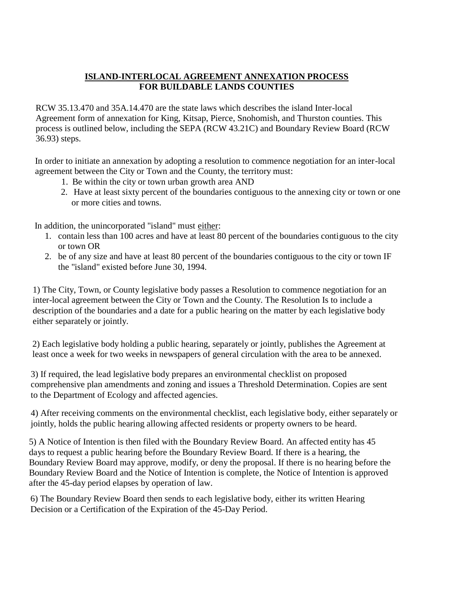### **ISLAND-INTERLOCAL AGREEMENT ANNEXATION PROCESS FOR BUILDABLE LANDS COUNTIES**

RCW 35.13.470 and 35A.14.470 are the state laws which describes the island Inter-local Agreement form of annexation for King, Kitsap, Pierce, Snohomish, and Thurston counties. This process is outlined below, including the SEPA (RCW 43.21C) and Boundary Review Board (RCW 36.93) steps.

In order to initiate an annexation by adopting a resolution to commence negotiation for an inter-local agreement between the City or Town and the County, the territory must:

- 1. Be within the city or town urban growth area AND
- 2. Have at least sixty percent of the boundaries contiguous to the annexing city or town or one or more cities and towns.

In addition, the unincorporated "island" must either:

- 1. contain less than 100 acres and have at least 80 percent of the boundaries contiguous to the city or town OR
- 2. be of any size and have at least 80 percent of the boundaries contiguous to the city or town IF the "island" existed before June 30, 1994.

1) The City, Town, or County legislative body passes a Resolution to commence negotiation for an inter-local agreement between the City or Town and the County. The Resolution Is to include a description of the boundaries and a date for a public hearing on the matter by each legislative body either separately or jointly.

2) Each legislative body holding a public hearing, separately or jointly, publishes the Agreement at least once a week for two weeks in newspapers of general circulation with the area to be annexed.

3) If required, the lead legislative body prepares an environmental checklist on proposed comprehensive plan amendments and zoning and issues a Threshold Determination. Copies are sent to the Department of Ecology and affected agencies.

4) After receiving comments on the environmental checklist, each legislative body, either separately or jointly, holds the public hearing allowing affected residents or property owners to be heard.

5) A Notice of Intention is then filed with the Boundary Review Board. An affected entity has 45 days to request a public hearing before the Boundary Review Board. If there is a hearing, the Boundary Review Board may approve, modify, or deny the proposal. If there is no hearing before the Boundary Review Board and the Notice of Intention is complete, the Notice of Intention is approved after the 45-day period elapses by operation of law.

6) The Boundary Review Board then sends to each legislative body, either its written Hearing Decision or a Certification of the Expiration of the 45-Day Period.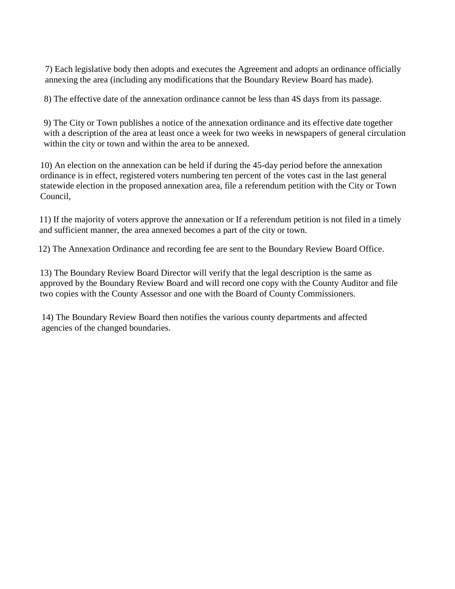7) Each legislative body then adopts and executes the Agreement and adopts an ordinance officially annexing the area (including any modifications that the Boundary Review Board has made).

8) The effective date of the annexation ordinance cannot be less than 4S days from its passage.

9) The City or Town publishes a notice of the annexation ordinance and its effective date together with a description of the area at least once a week for two weeks in newspapers of general circulation within the city or town and within the area to be annexed.

10) An election on the annexation can be held if during the 45-day period before the annexation ordinance is in effect, registered voters numbering ten percent of the votes cast in the last general statewide election in the proposed annexation area, file a referendum petition with the City or Town Council,

11) If the majority of voters approve the annexation or If a referendum petition is not filed in a timely and sufficient manner, the area annexed becomes a part of the city or town.

12) The Annexation Ordinance and recording fee are sent to the Boundary Review Board Office.

13) The Boundary Review Board Director will verify that the legal description is the same as approved by the Boundary Review Board and will record one copy with the County Auditor and file two copies with the County Assessor and one with the Board of County Commissioners.

14) The Boundary Review Board then notifies the various county departments and affected agencies of the changed boundaries.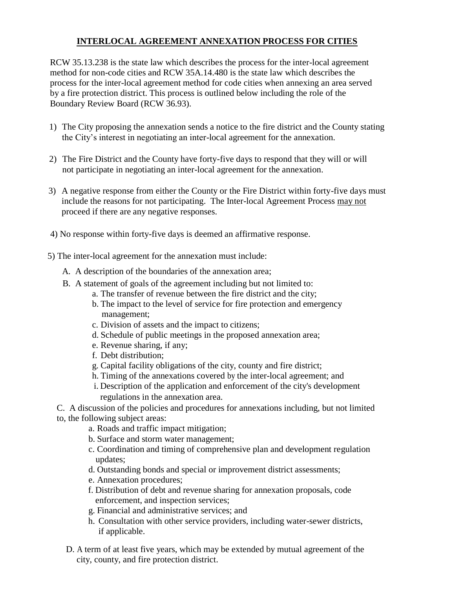### **INTERLOCAL AGREEMENT ANNEXATION PROCESS FOR CITIES**

RCW 35.13.238 is the state law which describes the process for the inter-local agreement method for non-code cities and RCW 35A.14.480 is the state law which describes the process for the inter-local agreement method for code cities when annexing an area served by a fire protection district. This process is outlined below including the role of the Boundary Review Board (RCW 36.93).

- 1) The City proposing the annexation sends a notice to the fire district and the County stating the City's interest in negotiating an inter-local agreement for the annexation.
- 2) The Fire District and the County have forty-five days to respond that they will or will not participate in negotiating an inter-local agreement for the annexation.
- 3) A negative response from either the County or the Fire District within forty-five days must include the reasons for not participating. The Inter-local Agreement Process may not proceed if there are any negative responses.
- 4) No response within forty-five days is deemed an affirmative response.
- 5) The inter-local agreement for the annexation must include:
	- A. A description of the boundaries of the annexation area;
	- B. A statement of goals of the agreement including but not limited to:
		- a. The transfer of revenue between the fire district and the city;
		- b. The impact to the level of service for fire protection and emergency management;
		- c. Division of assets and the impact to citizens;
		- d. Schedule of public meetings in the proposed annexation area;
		- e. Revenue sharing, if any;
		- f. Debt distribution;
		- g. Capital facility obligations of the city, county and fire district;
		- h. Timing of the annexations covered by the inter-local agreement; and
		- i. Description of the application and enforcement of the city's development regulations in the annexation area.

C. A discussion of the policies and procedures for annexations including, but not limited to, the following subject areas:

- a. Roads and traffic impact mitigation;
- b. Surface and storm water management;
- c. Coordination and timing of comprehensive plan and development regulation updates;
- d. Outstanding bonds and special or improvement district assessments;
- e. Annexation procedures;
- f. Distribution of debt and revenue sharing for annexation proposals, code enforcement, and inspection services;
- g. Financial and administrative services; and
- h. Consultation with other service providers, including water-sewer districts, if applicable.
- D. A term of at least five years, which may be extended by mutual agreement of the city, county, and fire protection district.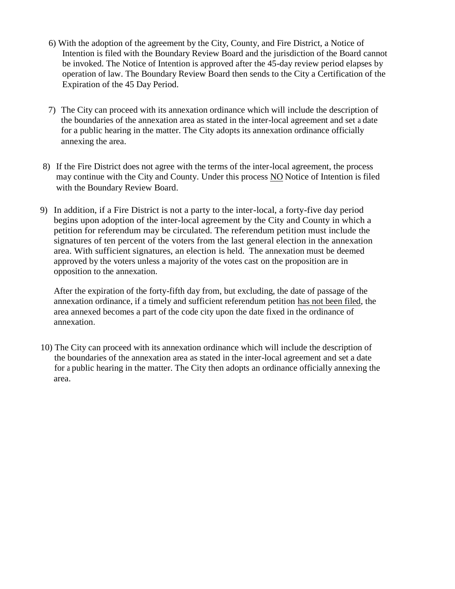- 6) With the adoption of the agreement by the City, County, and Fire District, a Notice of Intention is filed with the Boundary Review Board and the jurisdiction of the Board cannot be invoked. The Notice of Intention is approved after the 45-day review period elapses by operation of law. The Boundary Review Board then sends to the City a Certification of the Expiration of the 45 Day Period.
- 7) The City can proceed with its annexation ordinance which will include the description of the boundaries of the annexation area as stated in the inter-local agreement and set a date for a public hearing in the matter. The City adopts its annexation ordinance officially annexing the area.
- 8) If the Fire District does not agree with the terms of the inter-local agreement, the process may continue with the City and County. Under this process NO Notice of Intention is filed with the Boundary Review Board.
- 9) In addition, if a Fire District is not a party to the inter-local, a forty-five day period begins upon adoption of the inter-local agreement by the City and County in which a petition for referendum may be circulated. The referendum petition must include the signatures of ten percent of the voters from the last general election in the annexation area. With sufficient signatures, an election is held. The annexation must be deemed approved by the voters unless a majority of the votes cast on the proposition are in opposition to the annexation.

After the expiration of the forty-fifth day from, but excluding, the date of passage of the annexation ordinance, if a timely and sufficient referendum petition has not been filed, the area annexed becomes a part of the code city upon the date fixed in the ordinance of annexation.

10) The City can proceed with its annexation ordinance which will include the description of the boundaries of the annexation area as stated in the inter-local agreement and set a date for a public hearing in the matter. The City then adopts an ordinance officially annexing the area.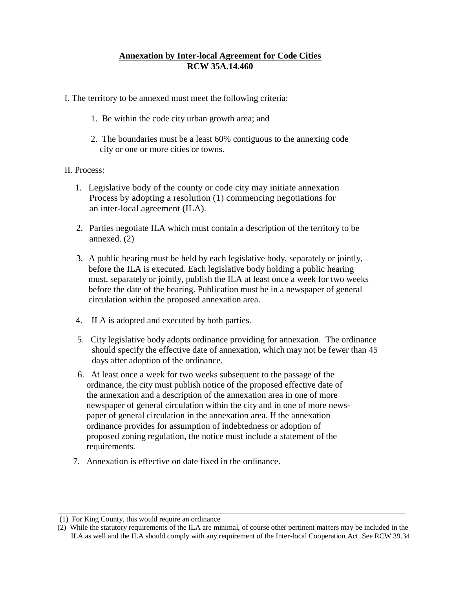### **Annexation by Inter-local Agreement for Code Cities RCW 35A.14.460**

- I. The territory to be annexed must meet the following criteria:
	- 1. Be within the code city urban growth area; and
	- 2. The boundaries must be a least 60% contiguous to the annexing code city or one or more cities or towns.

#### II. Process:

- 1. Legislative body of the county or code city may initiate annexation Process by adopting a resolution (1) commencing negotiations for an inter-local agreement (ILA).
- 2. Parties negotiate ILA which must contain a description of the territory to be annexed. (2)
- 3. A public hearing must be held by each legislative body, separately or jointly, before the ILA is executed. Each legislative body holding a public hearing must, separately or jointly, publish the ILA at least once a week for two weeks before the date of the hearing. Publication must be in a newspaper of general circulation within the proposed annexation area.
- 4. ILA is adopted and executed by both parties.
- 5. City legislative body adopts ordinance providing for annexation. The ordinance should specify the effective date of annexation, which may not be fewer than 45 days after adoption of the ordinance.
- 6. At least once a week for two weeks subsequent to the passage of the ordinance, the city must publish notice of the proposed effective date of the annexation and a description of the annexation area in one of more newspaper of general circulation within the city and in one of more news paper of general circulation in the annexation area. If the annexation ordinance provides for assumption of indebtedness or adoption of proposed zoning regulation, the notice must include a statement of the requirements.
- 7. Annexation is effective on date fixed in the ordinance.

<sup>(1)</sup> For King County, this would require an ordinance

<sup>(2)</sup> While the statutory requirements of the ILA are minimal, of course other pertinent matters may be included in the ILA as well and the ILA should comply with any requirement of the Inter-local Cooperation Act. See RCW 39.34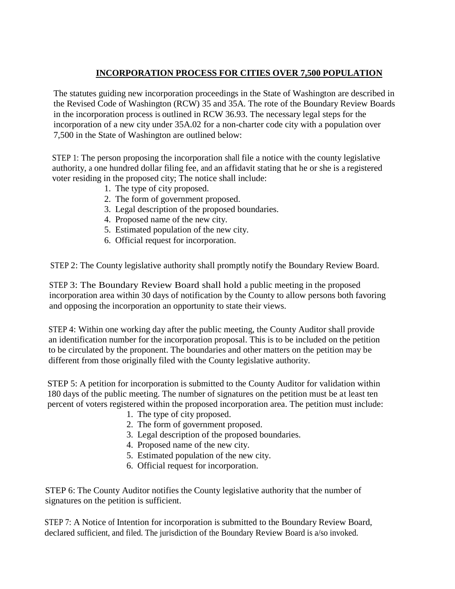# **INCORPORATION PROCESS FOR CITIES OVER 7,500 POPULATION**

The statutes guiding new incorporation proceedings in the State of Washington are described in the Revised Code of Washington (RCW) 35 and 35A. The rote of the Boundary Review Boards in the incorporation process is outlined in RCW 36.93. The necessary legal steps for the incorporation of a new city under 35A.02 for a non-charter code city with a population over 7,500 in the State of Washington are outlined below:

STEP 1: The person proposing the incorporation shall file a notice with the county legislative authority, a one hundred dollar filing fee, and an affidavit stating that he or she is a registered voter residing in the proposed city; The notice shall include:

- 1. The type of city proposed.
- 2. The form of government proposed.
- 3. Legal description of the proposed boundaries.
- 4. Proposed name of the new city.
- 5. Estimated population of the new city.
- 6. Official request for incorporation.

STEP 2: The County legislative authority shall promptly notify the Boundary Review Board.

STEP 3: The Boundary Review Board shall hold a public meeting in the proposed incorporation area within 30 days of notification by the County to allow persons both favoring and opposing the incorporation an opportunity to state their views.

STEP 4: Within one working day after the public meeting, the County Auditor shall provide an identification number for the incorporation proposal. This is to be included on the petition to be circulated by the proponent. The boundaries and other matters on the petition may be different from those originally filed with the County legislative authority.

STEP 5: A petition for incorporation is submitted to the County Auditor for validation within 180 days of the public meeting. The number of signatures on the petition must be at least ten percent of voters registered within the proposed incorporation area. The petition must include:

- 1. The type of city proposed.
- 2. The form of government proposed.
- 3. Legal description of the proposed boundaries.
- 4. Proposed name of the new city.
- 5. Estimated population of the new city.
- 6. Official request for incorporation.

STEP 6: The County Auditor notifies the County legislative authority that the number of signatures on the petition is sufficient.

STEP 7: A Notice of Intention for incorporation is submitted to the Boundary Review Board, declared sufficient, and filed. The jurisdiction of the Boundary Review Board is a/so invoked.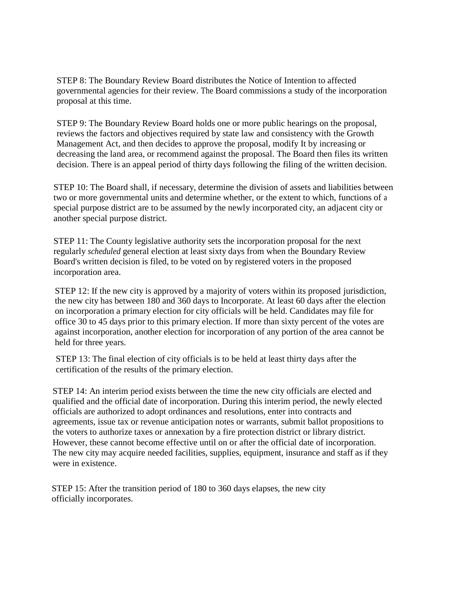STEP 8: The Boundary Review Board distributes the Notice of Intention to affected governmental agencies for their review. The Board commissions a study of the incorporation proposal at this time.

STEP 9: The Boundary Review Board holds one or more public hearings on the proposal, reviews the factors and objectives required by state law and consistency with the Growth Management Act, and then decides to approve the proposal, modify It by increasing or decreasing the land area, or recommend against the proposal. The Board then files its written decision. There is an appeal period of thirty days following the filing of the written decision.

STEP 10: The Board shall, if necessary, determine the division of assets and liabilities between two or more governmental units and determine whether, or the extent to which, functions of a special purpose district are to be assumed by the newly incorporated city, an adjacent city or another special purpose district.

STEP 11: The County legislative authority sets the incorporation proposal for the next regularly *scheduled* general election at least sixty days from when the Boundary Review Board's written decision is filed, to be voted on by registered voters in the proposed incorporation area.

STEP 12: If the new city is approved by a majority of voters within its proposed jurisdiction, the new city has between 180 and 360 days to Incorporate. At least 60 days after the election on incorporation a primary election for city officials will be held. Candidates may file for office 30 to 45 days prior to this primary election. If more than sixty percent of the votes are against incorporation, another election for incorporation of any portion of the area cannot be held for three years.

STEP 13: The final election of city officials is to be held at least thirty days after the certification of the results of the primary election.

STEP 14: An interim period exists between the time the new city officials are elected and qualified and the official date of incorporation. During this interim period, the newly elected officials are authorized to adopt ordinances and resolutions, enter into contracts and agreements, issue tax or revenue anticipation notes or warrants, submit ballot propositions to the voters to authorize taxes or annexation by a fire protection district or library district. However, these cannot become effective until on or after the official date of incorporation. The new city may acquire needed facilities, supplies, equipment, insurance and staff as if they were in existence.

STEP 15: After the transition period of 180 to 360 days elapses, the new city officially incorporates.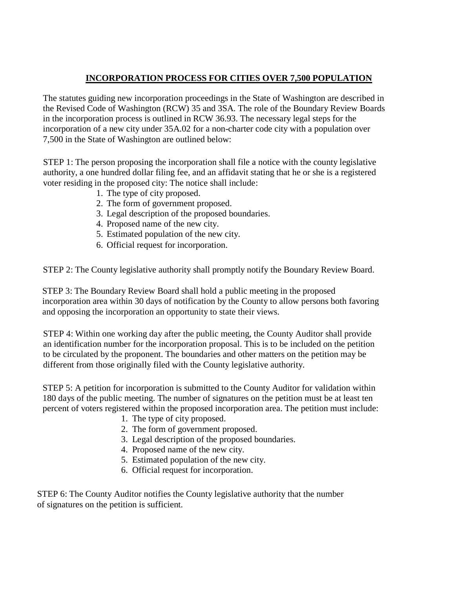# **INCORPORATION PROCESS FOR CITIES OVER 7,500 POPULATION**

The statutes guiding new incorporation proceedings in the State of Washington are described in the Revised Code of Washington (RCW) 35 and 3SA. The role of the Boundary Review Boards in the incorporation process is outlined in RCW 36.93. The necessary legal steps for the incorporation of a new city under 35A.02 for a non-charter code city with a population over 7,500 in the State of Washington are outlined below:

STEP 1: The person proposing the incorporation shall file a notice with the county legislative authority, a one hundred dollar filing fee, and an affidavit stating that he or she is a registered voter residing in the proposed city: The notice shall include:

- 1. The type of city proposed.
- 2. The form of government proposed.
- 3. Legal description of the proposed boundaries.
- 4. Proposed name of the new city.
- 5. Estimated population of the new city.
- 6. Official request for incorporation.

STEP 2: The County legislative authority shall promptly notify the Boundary Review Board.

STEP 3: The Boundary Review Board shall hold a public meeting in the proposed incorporation area within 30 days of notification by the County to allow persons both favoring and opposing the incorporation an opportunity to state their views.

STEP 4: Within one working day after the public meeting, the County Auditor shall provide an identification number for the incorporation proposal. This is to be included on the petition to be circulated by the proponent. The boundaries and other matters on the petition may be different from those originally filed with the County legislative authority.

STEP 5: A petition for incorporation is submitted to the County Auditor for validation within 180 days of the public meeting. The number of signatures on the petition must be at least ten percent of voters registered within the proposed incorporation area. The petition must include:

- 1. The type of city proposed.
- 2. The form of government proposed.
- 3. Legal description of the proposed boundaries.
- 4. Proposed name of the new city.
- 5. Estimated population of the new city.
- 6. Official request for incorporation.

STEP 6: The County Auditor notifies the County legislative authority that the number of signatures on the petition is sufficient.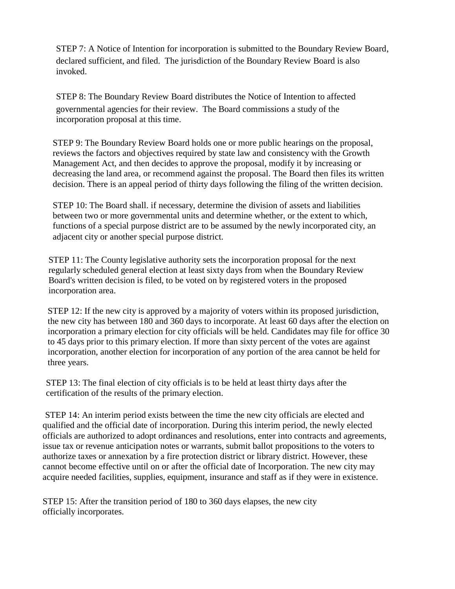STEP 7: A Notice of Intention for incorporation is submitted to the Boundary Review Board, declared sufficient, and filed. The jurisdiction of the Boundary Review Board is also invoked.

STEP 8: The Boundary Review Board distributes the Notice of Intention to affected governmental agencies for their review. The Board commissions a study of the incorporation proposal at this time.

STEP 9: The Boundary Review Board holds one or more public hearings on the proposal, reviews the factors and objectives required by state law and consistency with the Growth Management Act, and then decides to approve the proposal, modify it by increasing or decreasing the land area, or recommend against the proposal. The Board then files its written decision. There is an appeal period of thirty days following the filing of the written decision.

STEP 10: The Board shall. if necessary, determine the division of assets and liabilities between two or more governmental units and determine whether, or the extent to which, functions of a special purpose district are to be assumed by the newly incorporated city, an adjacent city or another special purpose district.

STEP 11: The County legislative authority sets the incorporation proposal for the next regularly scheduled general election at least sixty days from when the Boundary Review Board's written decision is filed, to be voted on by registered voters in the proposed incorporation area.

STEP 12: If the new city is approved by a majority of voters within its proposed jurisdiction, the new city has between 180 and 360 days to incorporate. At least 60 days after the election on incorporation a primary election for city officials will be held. Candidates may file for office 30 to 45 days prior to this primary election. If more than sixty percent of the votes are against incorporation, another election for incorporation of any portion of the area cannot be held for three years.

STEP 13: The final election of city officials is to be held at least thirty days after the certification of the results of the primary election.

STEP 14: An interim period exists between the time the new city officials are elected and qualified and the official date of incorporation. During this interim period, the newly elected officials are authorized to adopt ordinances and resolutions, enter into contracts and agreements, issue tax or revenue anticipation notes or warrants, submit ballot propositions to the voters to authorize taxes or annexation by a fire protection district or library district. However, these cannot become effective until on or after the official date of Incorporation. The new city may acquire needed facilities, supplies, equipment, insurance and staff as if they were in existence.

STEP 15: After the transition period of 180 to 360 days elapses, the new city officially incorporates.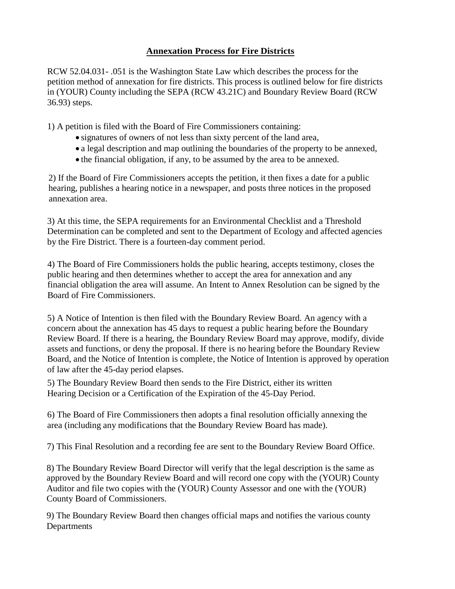# **Annexation Process for Fire Districts**

RCW 52.04.031- .051 is the Washington State Law which describes the process for the petition method of annexation for fire districts. This process is outlined below for fire districts in (YOUR) County including the SEPA (RCW 43.21C) and Boundary Review Board (RCW 36.93) steps.

1) A petition is filed with the Board of Fire Commissioners containing:

- signatures of owners of not less than sixty percent of the land area,
- a legal description and map outlining the boundaries of the property to be annexed,
- the financial obligation, if any, to be assumed by the area to be annexed.

2) If the Board of Fire Commissioners accepts the petition, it then fixes a date for a public hearing, publishes a hearing notice in a newspaper, and posts three notices in the proposed annexation area.

3) At this time, the SEPA requirements for an Environmental Checklist and a Threshold Determination can be completed and sent to the Department of Ecology and affected agencies by the Fire District. There is a fourteen-day comment period.

4) The Board of Fire Commissioners holds the public hearing, accepts testimony, closes the public hearing and then determines whether to accept the area for annexation and any financial obligation the area will assume. An Intent to Annex Resolution can be signed by the Board of Fire Commissioners.

5) A Notice of Intention is then filed with the Boundary Review Board. An agency with a concern about the annexation has 45 days to request a public hearing before the Boundary Review Board. If there is a hearing, the Boundary Review Board may approve, modify, divide assets and functions, or deny the proposal. If there is no hearing before the Boundary Review Board, and the Notice of Intention is complete, the Notice of Intention is approved by operation of law after the 45-day period elapses.

5) The Boundary Review Board then sends to the Fire District, either its written Hearing Decision or a Certification of the Expiration of the 45-Day Period.

6) The Board of Fire Commissioners then adopts a final resolution officially annexing the area (including any modifications that the Boundary Review Board has made).

7) This Final Resolution and a recording fee are sent to the Boundary Review Board Office.

8) The Boundary Review Board Director will verify that the legal description is the same as approved by the Boundary Review Board and will record one copy with the (YOUR) County Auditor and file two copies with the (YOUR) County Assessor and one with the (YOUR) County Board of Commissioners.

9) The Boundary Review Board then changes official maps and notifies the various county Departments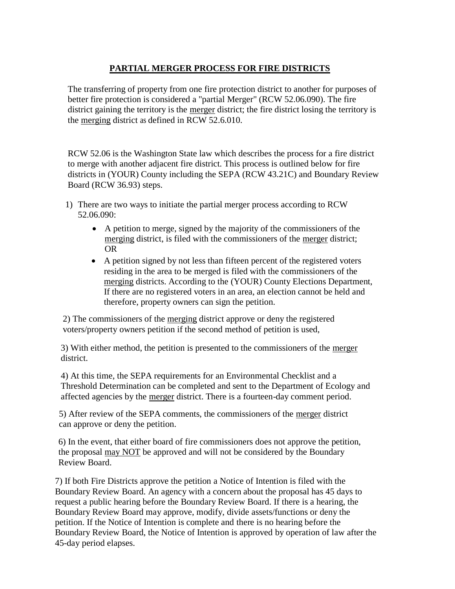# **PARTIAL MERGER PROCESS FOR FIRE DISTRICTS**

The transferring of property from one fire protection district to another for purposes of better fire protection is considered a "partial Merger" (RCW 52.06.090). The fire district gaining the territory is the merger district; the fire district losing the territory is the merging district as defined in RCW 52.6.010.

RCW 52.06 is the Washington State law which describes the process for a fire district to merge with another adjacent fire district. This process is outlined below for fire districts in (YOUR) County including the SEPA (RCW 43.21C) and Boundary Review Board (RCW 36.93) steps.

- 1) There are two ways to initiate the partial merger process according to RCW 52.06.090:
	- A petition to merge, signed by the majority of the commissioners of the merging district, is filed with the commissioners of the merger district; OR
	- A petition signed by not less than fifteen percent of the registered voters residing in the area to be merged is filed with the commissioners of the merging districts. According to the (YOUR) County Elections Department, If there are no registered voters in an area, an election cannot be held and therefore, property owners can sign the petition.

2) The commissioners of the merging district approve or deny the registered voters/property owners petition if the second method of petition is used,

3) With either method, the petition is presented to the commissioners of the merger district.

4) At this time, the SEPA requirements for an Environmental Checklist and a Threshold Determination can be completed and sent to the Department of Ecology and affected agencies by the merger district. There is a fourteen-day comment period.

5) After review of the SEPA comments, the commissioners of the merger district can approve or deny the petition.

6) In the event, that either board of fire commissioners does not approve the petition, the proposal may NOT be approved and will not be considered by the Boundary Review Board.

7) If both Fire Districts approve the petition a Notice of Intention is filed with the Boundary Review Board. An agency with a concern about the proposal has 45 days to request a public hearing before the Boundary Review Board. If there is a hearing, the Boundary Review Board may approve, modify, divide assets/functions or deny the petition. If the Notice of Intention is complete and there is no hearing before the Boundary Review Board, the Notice of Intention is approved by operation of law after the 45-day period elapses.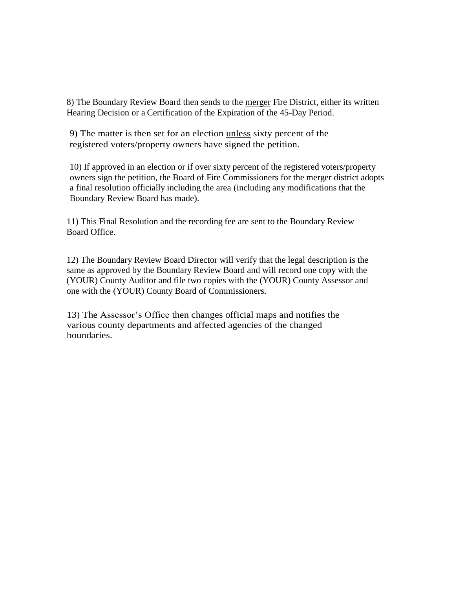8) The Boundary Review Board then sends to the merger Fire District, either its written Hearing Decision or a Certification of the Expiration of the 45-Day Period.

9) The matter is then set for an election unless sixty percent of the registered voters/property owners have signed the petition.

10) If approved in an election or if over sixty percent of the registered voters/property owners sign the petition, the Board of Fire Commissioners for the merger district adopts a final resolution officially including the area (including any modifications that the Boundary Review Board has made).

11) This Final Resolution and the recording fee are sent to the Boundary Review Board Office.

12) The Boundary Review Board Director will verify that the legal description is the same as approved by the Boundary Review Board and will record one copy with the (YOUR) County Auditor and file two copies with the (YOUR) County Assessor and one with the (YOUR) County Board of Commissioners.

13) The Assessor's Office then changes official maps and notifies the various county departments and affected agencies of the changed boundaries.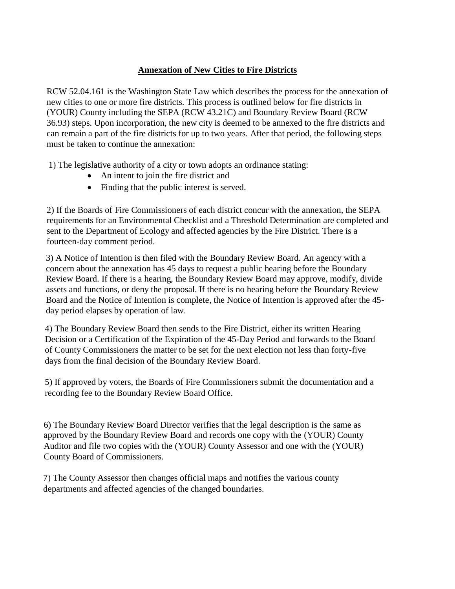### **Annexation of New Cities to Fire Districts**

RCW 52.04.161 is the Washington State Law which describes the process for the annexation of new cities to one or more fire districts. This process is outlined below for fire districts in (YOUR) County including the SEPA (RCW 43.21C) and Boundary Review Board (RCW 36.93) steps. Upon incorporation, the new city is deemed to be annexed to the fire districts and can remain a part of the fire districts for up to two years. After that period, the following steps must be taken to continue the annexation:

1) The legislative authority of a city or town adopts an ordinance stating:

- An intent to join the fire district and
- Finding that the public interest is served.

2) If the Boards of Fire Commissioners of each district concur with the annexation, the SEPA requirements for an Environmental Checklist and a Threshold Determination are completed and sent to the Department of Ecology and affected agencies by the Fire District. There is a fourteen-day comment period.

3) A Notice of Intention is then filed with the Boundary Review Board. An agency with a concern about the annexation has 45 days to request a public hearing before the Boundary Review Board. If there is a hearing, the Boundary Review Board may approve, modify, divide assets and functions, or deny the proposal. If there is no hearing before the Boundary Review Board and the Notice of Intention is complete, the Notice of Intention is approved after the 45 day period elapses by operation of law.

4) The Boundary Review Board then sends to the Fire District, either its written Hearing Decision or a Certification of the Expiration of the 45-Day Period and forwards to the Board of County Commissioners the matter to be set for the next election not less than forty-five days from the final decision of the Boundary Review Board.

5) If approved by voters, the Boards of Fire Commissioners submit the documentation and a recording fee to the Boundary Review Board Office.

6) The Boundary Review Board Director verifies that the legal description is the same as approved by the Boundary Review Board and records one copy with the (YOUR) County Auditor and file two copies with the (YOUR) County Assessor and one with the (YOUR) County Board of Commissioners.

7) The County Assessor then changes official maps and notifies the various county departments and affected agencies of the changed boundaries.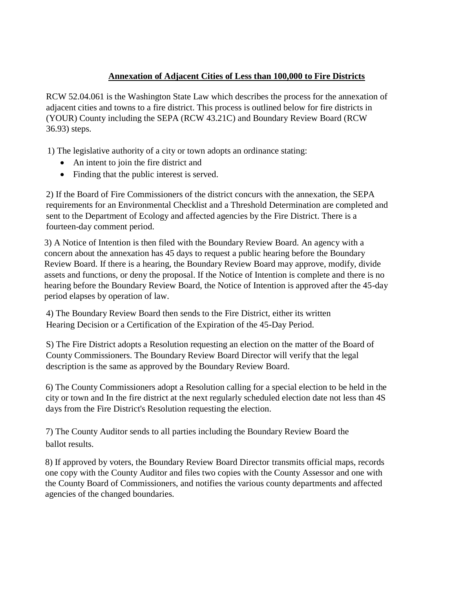### **Annexation of Adjacent Cities of Less than 100,000 to Fire Districts**

RCW 52.04.061 is the Washington State Law which describes the process for the annexation of adjacent cities and towns to a fire district. This process is outlined below for fire districts in (YOUR) County including the SEPA (RCW 43.21C) and Boundary Review Board (RCW 36.93) steps.

1) The legislative authority of a city or town adopts an ordinance stating:

- An intent to join the fire district and
- Finding that the public interest is served.

2) If the Board of Fire Commissioners of the district concurs with the annexation, the SEPA requirements for an Environmental Checklist and a Threshold Determination are completed and sent to the Department of Ecology and affected agencies by the Fire District. There is a fourteen-day comment period.

3) A Notice of Intention is then filed with the Boundary Review Board. An agency with a concern about the annexation has 45 days to request a public hearing before the Boundary Review Board. If there is a hearing, the Boundary Review Board may approve, modify, divide assets and functions, or deny the proposal. If the Notice of Intention is complete and there is no hearing before the Boundary Review Board, the Notice of Intention is approved after the 45-day period elapses by operation of law.

4) The Boundary Review Board then sends to the Fire District, either its written Hearing Decision or a Certification of the Expiration of the 45-Day Period.

S) The Fire District adopts a Resolution requesting an election on the matter of the Board of County Commissioners. The Boundary Review Board Director will verify that the legal description is the same as approved by the Boundary Review Board.

6) The County Commissioners adopt a Resolution calling for a special election to be held in the city or town and In the fire district at the next regularly scheduled election date not less than 4S days from the Fire District's Resolution requesting the election.

7) The County Auditor sends to all parties including the Boundary Review Board the ballot results.

8) If approved by voters, the Boundary Review Board Director transmits official maps, records one copy with the County Auditor and files two copies with the County Assessor and one with the County Board of Commissioners, and notifies the various county departments and affected agencies of the changed boundaries.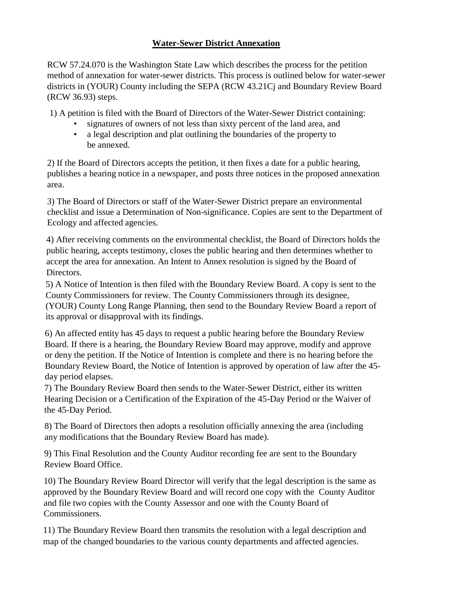### **Water-Sewer District Annexation**

RCW 57.24.070 is the Washington State Law which describes the process for the petition method of annexation for water-sewer districts. This process is outlined below for water-sewer districts in (YOUR) County including the SEPA (RCW 43.21Cj and Boundary Review Board (RCW 36.93) steps.

1) A petition is filed with the Board of Directors of the Water-Sewer District containing:

- signatures of owners of not less than sixty percent of the land area, and
- a legal description and plat outlining the boundaries of the property to be annexed.

2) If the Board of Directors accepts the petition, it then fixes a date for a public hearing, publishes a hearing notice in a newspaper, and posts three notices in the proposed annexation area.

3) The Board of Directors or staff of the Water-Sewer District prepare an environmental checklist and issue a Determination of Non-significance. Copies are sent to the Department of Ecology and affected agencies.

4) After receiving comments on the environmental checklist, the Board of Directors holds the public hearing, accepts testimony, closes the public hearing and then determines whether to accept the area for annexation. An Intent to Annex resolution is signed by the Board of Directors.

5) A Notice of Intention is then filed with the Boundary Review Board. A copy is sent to the County Commissioners for review. The County Commissioners through its designee, (YOUR) County Long Range Planning, then send to the Boundary Review Board a report of its approval or disapproval with its findings.

6) An affected entity has 45 days to request a public hearing before the Boundary Review Board. If there is a hearing, the Boundary Review Board may approve, modify and approve or deny the petition. If the Notice of Intention is complete and there is no hearing before the Boundary Review Board, the Notice of Intention is approved by operation of law after the 45 day period elapses.

7) The Boundary Review Board then sends to the Water-Sewer District, either its written Hearing Decision or a Certification of the Expiration of the 45-Day Period or the Waiver of the 45-Day Period.

8) The Board of Directors then adopts a resolution officially annexing the area (including any modifications that the Boundary Review Board has made).

9) This Final Resolution and the County Auditor recording fee are sent to the Boundary Review Board Office.

10) The Boundary Review Board Director will verify that the legal description is the same as approved by the Boundary Review Board and will record one copy with the County Auditor and file two copies with the County Assessor and one with the County Board of Commissioners.

11) The Boundary Review Board then transmits the resolution with a legal description and map of the changed boundaries to the various county departments and affected agencies.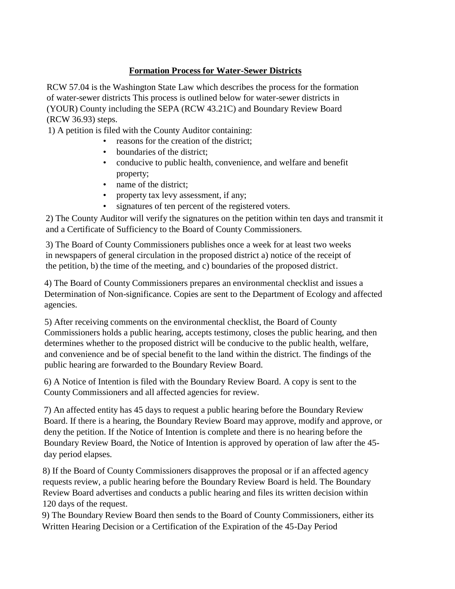# **Formation Process for Water-Sewer Districts**

RCW 57.04 is the Washington State Law which describes the process for the formation of water-sewer districts This process is outlined below for water-sewer districts in (YOUR) County including the SEPA (RCW 43.21C) and Boundary Review Board (RCW 36.93) steps.

1) A petition is filed with the County Auditor containing:

- reasons for the creation of the district;
- boundaries of the district:
- conducive to public health, convenience, and welfare and benefit property;
- name of the district;
- property tax levy assessment, if any;
- signatures of ten percent of the registered voters.

2) The County Auditor will verify the signatures on the petition within ten days and transmit it and a Certificate of Sufficiency to the Board of County Commissioners.

3) The Board of County Commissioners publishes once a week for at least two weeks in newspapers of general circulation in the proposed district a) notice of the receipt of the petition, b) the time of the meeting, and c) boundaries of the proposed district.

4) The Board of County Commissioners prepares an environmental checklist and issues a Determination of Non-significance. Copies are sent to the Department of Ecology and affected agencies.

5) After receiving comments on the environmental checklist, the Board of County Commissioners holds a public hearing, accepts testimony, closes the public hearing, and then determines whether to the proposed district will be conducive to the public health, welfare, and convenience and be of special benefit to the land within the district. The findings of the public hearing are forwarded to the Boundary Review Board.

6) A Notice of Intention is filed with the Boundary Review Board. A copy is sent to the County Commissioners and all affected agencies for review.

7) An affected entity has 45 days to request a public hearing before the Boundary Review Board. If there is a hearing, the Boundary Review Board may approve, modify and approve, or deny the petition. If the Notice of Intention is complete and there is no hearing before the Boundary Review Board, the Notice of Intention is approved by operation of law after the 45 day period elapses.

8) If the Board of County Commissioners disapproves the proposal or if an affected agency requests review, a public hearing before the Boundary Review Board is held. The Boundary Review Board advertises and conducts a public hearing and files its written decision within 120 days of the request.

9) The Boundary Review Board then sends to the Board of County Commissioners, either its Written Hearing Decision or a Certification of the Expiration of the 45-Day Period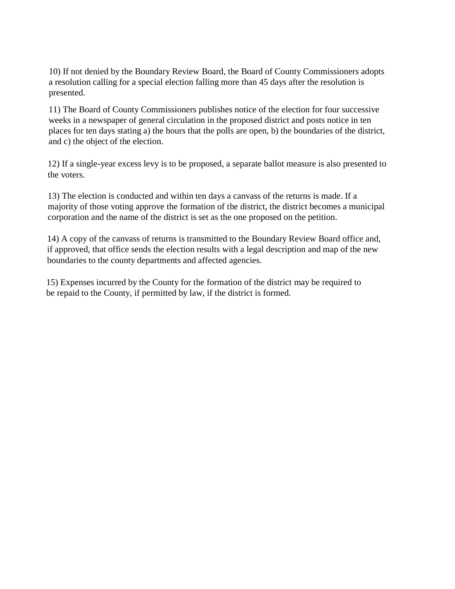10) If not denied by the Boundary Review Board, the Board of County Commissioners adopts a resolution calling for a special election falling more than 45 days after the resolution is presented.

11) The Board of County Commissioners publishes notice of the election for four successive weeks in a newspaper of general circulation in the proposed district and posts notice in ten places for ten days stating a) the hours that the polls are open, b) the boundaries of the district, and c) the object of the election.

12) If a single-year excess levy is to be proposed, a separate ballot measure is also presented to the voters.

13) The election is conducted and within ten days a canvass of the returns is made. If a majority of those voting approve the formation of the district, the district becomes a municipal corporation and the name of the district is set as the one proposed on the petition.

14) A copy of the canvass of returns is transmitted to the Boundary Review Board office and, if approved, that office sends the election results with a legal description and map of the new boundaries to the county departments and affected agencies.

15) Expenses incurred by the County for the formation of the district may be required to be repaid to the County, if permitted by law, if the district is formed.